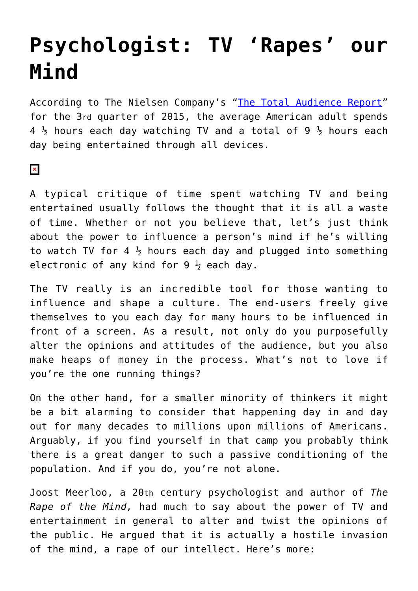## **[Psychologist: TV 'Rapes' our](https://intellectualtakeout.org/2016/03/psychologist-tv-rapes-our-mind/) [Mind](https://intellectualtakeout.org/2016/03/psychologist-tv-rapes-our-mind/)**

According to The Nielsen Company's "[The Total Audience Report"](http://www.nielsen.com/content/dam/corporate/us/en/reports-downloads/2015-reports/total-audience-report-q3-2015.pdf) for the 3rd quarter of 2015, the average American adult spends  $4\frac{1}{2}$  hours each day watching TV and a total of 9  $\frac{1}{2}$  hours each day being entertained through all devices.

## $\pmb{\times}$

A typical critique of time spent watching TV and being entertained usually follows the thought that it is all a waste of time. Whether or not you believe that, let's just think about the power to influence a person's mind if he's willing to watch TV for 4  $\frac{1}{2}$  hours each day and plugged into something electronic of any kind for  $9\frac{1}{2}$  each day.

The TV really is an incredible tool for those wanting to influence and shape a culture. The end-users freely give themselves to you each day for many hours to be influenced in front of a screen. As a result, not only do you purposefully alter the opinions and attitudes of the audience, but you also make heaps of money in the process. What's not to love if you're the one running things?

On the other hand, for a smaller minority of thinkers it might be a bit alarming to consider that happening day in and day out for many decades to millions upon millions of Americans. Arguably, if you find yourself in that camp you probably think there is a great danger to such a passive conditioning of the population. And if you do, you're not alone.

Joost Meerloo, a 20th century psychologist and author of *The Rape of the Mind,* had much to say about the power of TV and entertainment in general to alter and twist the opinions of the public. He argued that it is actually a hostile invasion of the mind, a rape of our intellect. Here's more: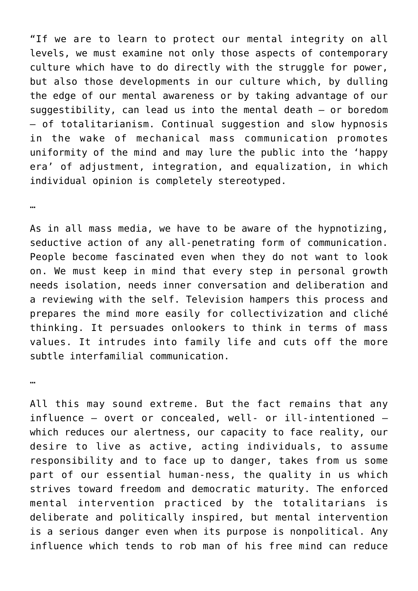"If we are to learn to protect our mental integrity on all levels, we must examine not only those aspects of contemporary culture which have to do directly with the struggle for power, but also those developments in our culture which, by dulling the edge of our mental awareness or by taking advantage of our suggestibility, can lead us into the mental death – or boredom – of totalitarianism. Continual suggestion and slow hypnosis in the wake of mechanical mass communication promotes uniformity of the mind and may lure the public into the 'happy era' of adjustment, integration, and equalization, in which individual opinion is completely stereotyped.

…

As in all mass media, we have to be aware of the hypnotizing, seductive action of any all-penetrating form of communication. People become fascinated even when they do not want to look on. We must keep in mind that every step in personal growth needs isolation, needs inner conversation and deliberation and a reviewing with the self. Television hampers this process and prepares the mind more easily for collectivization and cliché thinking. It persuades onlookers to think in terms of mass values. It intrudes into family life and cuts off the more subtle interfamilial communication.

…

All this may sound extreme. But the fact remains that any influence – overt or concealed, well- or ill-intentioned – which reduces our alertness, our capacity to face reality, our desire to live as active, acting individuals, to assume responsibility and to face up to danger, takes from us some part of our essential human-ness, the quality in us which strives toward freedom and democratic maturity. The enforced mental intervention practiced by the totalitarians is deliberate and politically inspired, but mental intervention is a serious danger even when its purpose is nonpolitical. Any influence which tends to rob man of his free mind can reduce